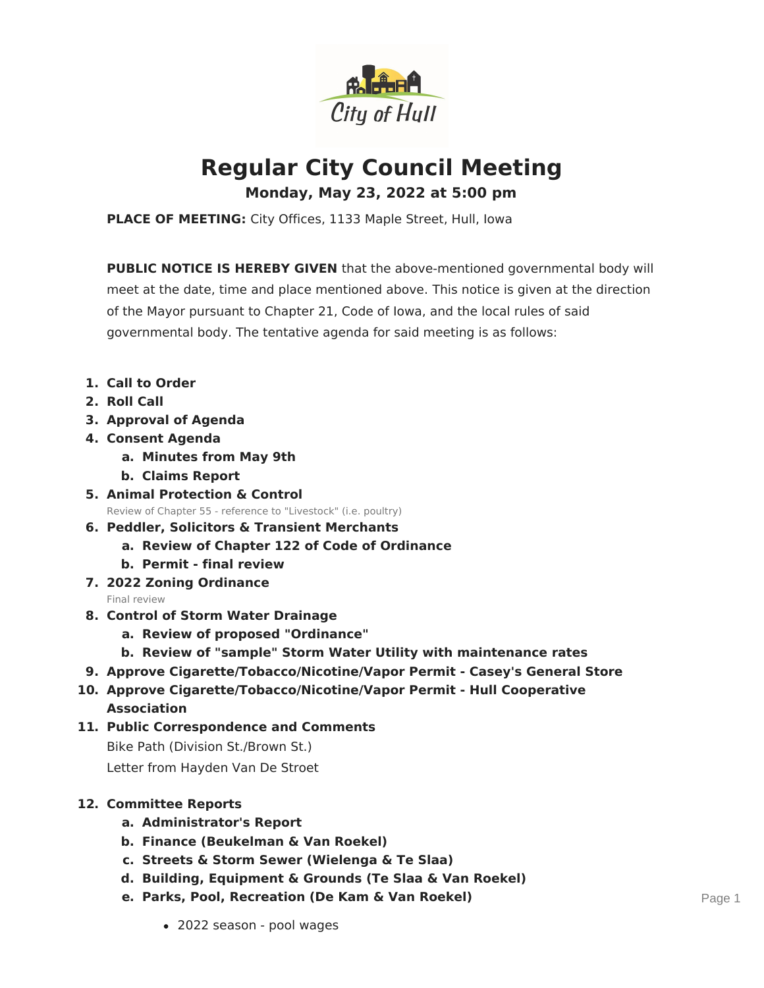

# **Regular City Council Meeting**

**Monday, May 23, 2022 at 5:00 pm**

**PLACE OF MEETING:** City Offices, 1133 Maple Street, Hull, Iowa

**PUBLIC NOTICE IS HEREBY GIVEN** that the above-mentioned governmental body will meet at the date, time and place mentioned above. This notice is given at the direction of the Mayor pursuant to Chapter 21, Code of Iowa, and the local rules of said governmental body. The tentative agenda for said meeting is as follows:

- **1. Call to Order**
- **2. Roll Call**
- **3. Approval of Agenda**
- **4. Consent Agenda**
	- **a. Minutes from May 9th**
	- **b. Claims Report**
- **5. Animal Protection & Control** Review of Chapter 55 - reference to "Livestock" (i.e. poultry)
- **6. Peddler, Solicitors & Transient Merchants**
	- **a. Review of Chapter 122 of Code of Ordinance**
	- **b. Permit - final review**
- **7. 2022 Zoning Ordinance**

Final review

- **8. Control of Storm Water Drainage**
	- **a. Review of proposed "Ordinance"**
	- **b. Review of "sample" Storm Water Utility with maintenance rates**
- **9. Approve Cigarette/Tobacco/Nicotine/Vapor Permit - Casey's General Store**
- **10. Approve Cigarette/Tobacco/Nicotine/Vapor Permit - Hull Cooperative Association**
- **11. Public Correspondence and Comments** Bike Path (Division St./Brown St.) Letter from Hayden Van De Stroet

## **12. Committee Reports**

- **a. Administrator's Report**
- **b. Finance (Beukelman & Van Roekel)**
- **c. Streets & Storm Sewer (Wielenga & Te Slaa)**
- **d. Building, Equipment & Grounds (Te Slaa & Van Roekel)**
- **e. Parks, Pool, Recreation (De Kam & Van Roekel)**
	- 2022 season pool wages